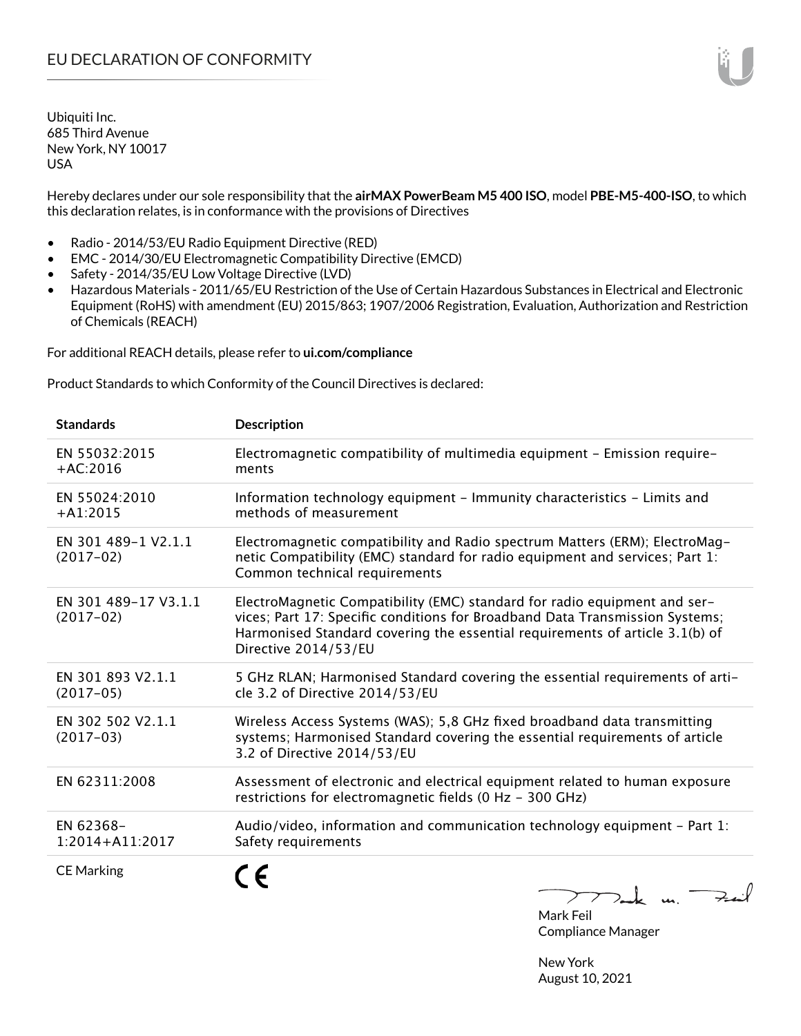Hereby declares under our sole responsibility that the **airMAX PowerBeam M5 400 ISO**, model **PBE-M5-400-ISO**, to which this declaration relates, is in conformance with the provisions of Directives

- Radio 2014/53/EU Radio Equipment Directive (RED)
- EMC 2014/30/EU Electromagnetic Compatibility Directive (EMCD)
- Safety 2014/35/EU Low Voltage Directive (LVD)
- Hazardous Materials 2011/65/EU Restriction of the Use of Certain Hazardous Substances in Electrical and Electronic Equipment (RoHS) with amendment (EU) 2015/863; 1907/2006 Registration, Evaluation, Authorization and Restriction of Chemicals (REACH)

For additional REACH details, please refer to **ui.com/compliance**

Product Standards to which Conformity of the Council Directives is declared:

| <b>Standards</b>                    | <b>Description</b>                                                                                                                                                                                                                                                |
|-------------------------------------|-------------------------------------------------------------------------------------------------------------------------------------------------------------------------------------------------------------------------------------------------------------------|
| EN 55032:2015<br>$+AC:2016$         | Electromagnetic compatibility of multimedia equipment - Emission require-<br>ments                                                                                                                                                                                |
| EN 55024:2010<br>$+A1:2015$         | Information technology equipment - Immunity characteristics - Limits and<br>methods of measurement                                                                                                                                                                |
| EN 301 489-1 V2.1.1<br>$(2017-02)$  | Electromagnetic compatibility and Radio spectrum Matters (ERM); ElectroMag-<br>netic Compatibility (EMC) standard for radio equipment and services; Part 1:<br>Common technical requirements                                                                      |
| EN 301 489-17 V3.1.1<br>$(2017-02)$ | ElectroMagnetic Compatibility (EMC) standard for radio equipment and ser-<br>vices; Part 17: Specific conditions for Broadband Data Transmission Systems;<br>Harmonised Standard covering the essential requirements of article 3.1(b) of<br>Directive 2014/53/EU |
| EN 301 893 V2.1.1<br>$(2017-05)$    | 5 GHz RLAN; Harmonised Standard covering the essential requirements of arti-<br>cle 3.2 of Directive 2014/53/EU                                                                                                                                                   |
| EN 302 502 V2.1.1<br>$(2017-03)$    | Wireless Access Systems (WAS); 5,8 GHz fixed broadband data transmitting<br>systems; Harmonised Standard covering the essential requirements of article<br>3.2 of Directive 2014/53/EU                                                                            |
| EN 62311:2008                       | Assessment of electronic and electrical equipment related to human exposure<br>restrictions for electromagnetic fields (0 Hz - 300 GHz)                                                                                                                           |
| EN 62368-<br>$1:2014 + A11:2017$    | Audio/video, information and communication technology equipment - Part 1:<br>Safety requirements                                                                                                                                                                  |
| <b>CE Marking</b>                   | 77 ruk m.                                                                                                                                                                                                                                                         |

Mark Feil Compliance Manager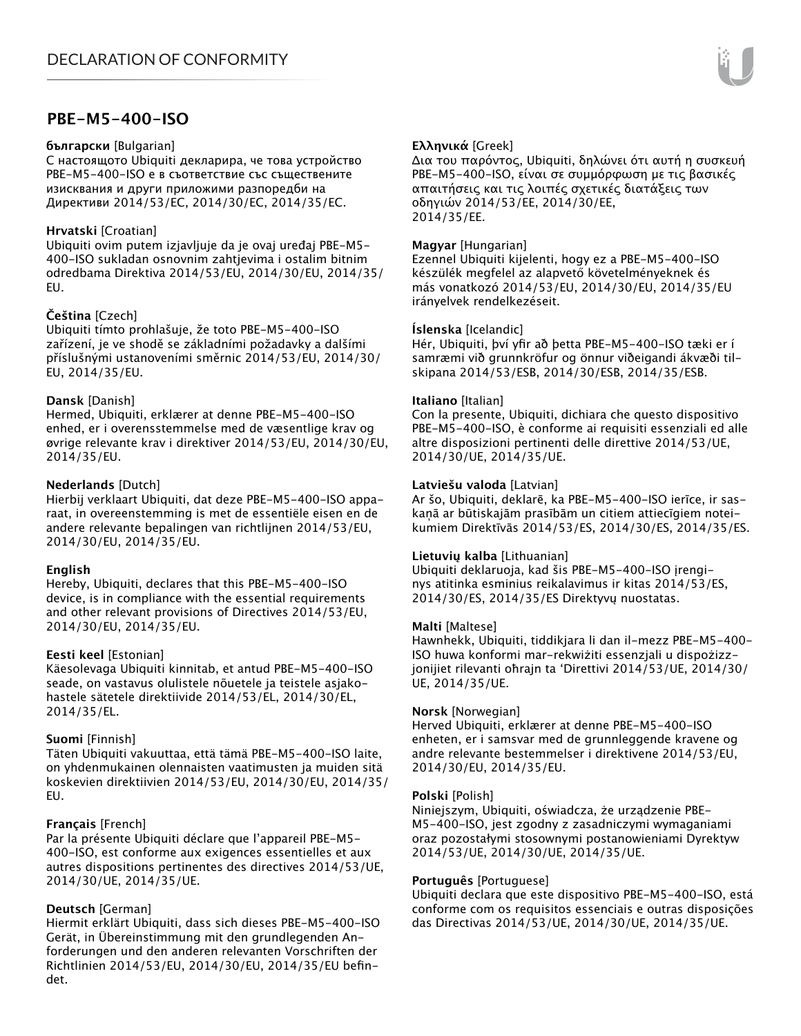## **PBE-M5-400-ISO**

#### **български** [Bulgarian]

С настоящото Ubiquiti декларира, че това устройство PBE-M5-400-ISO е в съответствие със съществените изисквания и други приложими разпоредби на Директиви 2014/53/EC, 2014/30/ЕС, 2014/35/ЕС.

## **Hrvatski** [Croatian]

Ubiquiti ovim putem izjavljuje da je ovaj uređaj PBE-M5- 400-ISO sukladan osnovnim zahtjevima i ostalim bitnim odredbama Direktiva 2014/53/EU, 2014/30/EU, 2014/35/ EU.

## **Čeština** [Czech]

Ubiquiti tímto prohlašuje, že toto PBE-M5-400-ISO zařízení, je ve shodě se základními požadavky a dalšími příslušnými ustanoveními směrnic 2014/53/EU, 2014/30/ EU, 2014/35/EU.

#### **Dansk** [Danish]

Hermed, Ubiquiti, erklærer at denne PBE-M5-400-ISO enhed, er i overensstemmelse med de væsentlige krav og øvrige relevante krav i direktiver 2014/53/EU, 2014/30/EU, 2014/35/EU.

#### **Nederlands** [Dutch]

Hierbij verklaart Ubiquiti, dat deze PBE-M5-400-ISO apparaat, in overeenstemming is met de essentiële eisen en de andere relevante bepalingen van richtlijnen 2014/53/EU, 2014/30/EU, 2014/35/EU.

#### **English**

Hereby, Ubiquiti, declares that this PBE-M5-400-ISO device, is in compliance with the essential requirements and other relevant provisions of Directives 2014/53/EU, 2014/30/EU, 2014/35/EU.

## **Eesti keel** [Estonian]

Käesolevaga Ubiquiti kinnitab, et antud PBE-M5-400-ISO seade, on vastavus olulistele nõuetele ja teistele asjakohastele sätetele direktiivide 2014/53/EL, 2014/30/EL, 2014/35/EL.

## **Suomi** [Finnish]

Täten Ubiquiti vakuuttaa, että tämä PBE-M5-400-ISO laite, on yhdenmukainen olennaisten vaatimusten ja muiden sitä koskevien direktiivien 2014/53/EU, 2014/30/EU, 2014/35/ EU.

## **Français** [French]

Par la présente Ubiquiti déclare que l'appareil PBE-M5- 400-ISO, est conforme aux exigences essentielles et aux autres dispositions pertinentes des directives 2014/53/UE, 2014/30/UE, 2014/35/UE.

## **Deutsch** [German]

Hiermit erklärt Ubiquiti, dass sich dieses PBE-M5-400-ISO Gerät, in Übereinstimmung mit den grundlegenden Anforderungen und den anderen relevanten Vorschriften der Richtlinien 2014/53/EU, 2014/30/EU, 2014/35/EU befindet.

## **Ελληνικά** [Greek]

Δια του παρόντος, Ubiquiti, δηλώνει ότι αυτή η συσκευή PBE-M5-400-ISO, είναι σε συμμόρφωση με τις βασικές απαιτήσεις και τις λοιπές σχετικές διατάξεις των οδηγιών 2014/53/EE, 2014/30/EE, 2014/35/EE.

#### **Magyar** [Hungarian]

Ezennel Ubiquiti kijelenti, hogy ez a PBE-M5-400-ISO készülék megfelel az alapvető követelményeknek és más vonatkozó 2014/53/EU, 2014/30/EU, 2014/35/EU irányelvek rendelkezéseit.

#### **Íslenska** [Icelandic]

Hér, Ubiquiti, því yfir að þetta PBE-M5-400-ISO tæki er í samræmi við grunnkröfur og önnur viðeigandi ákvæði tilskipana 2014/53/ESB, 2014/30/ESB, 2014/35/ESB.

#### **Italiano** [Italian]

Con la presente, Ubiquiti, dichiara che questo dispositivo PBE-M5-400-ISO, è conforme ai requisiti essenziali ed alle altre disposizioni pertinenti delle direttive 2014/53/UE, 2014/30/UE, 2014/35/UE.

#### **Latviešu valoda** [Latvian]

Ar šo, Ubiquiti, deklarē, ka PBE-M5-400-ISO ierīce, ir saskaņā ar būtiskajām prasībām un citiem attiecīgiem noteikumiem Direktīvās 2014/53/ES, 2014/30/ES, 2014/35/ES.

#### **Lietuvių kalba** [Lithuanian]

Ubiquiti deklaruoja, kad šis PBE-M5-400-ISO įrenginys atitinka esminius reikalavimus ir kitas 2014/53/ES, 2014/30/ES, 2014/35/ES Direktyvų nuostatas.

#### **Malti** [Maltese]

Hawnhekk, Ubiquiti, tiddikjara li dan il-mezz PBE-M5-400- ISO huwa konformi mar-rekwiżiti essenzjali u dispożizzjonijiet rilevanti oħrajn ta 'Direttivi 2014/53/UE, 2014/30/ UE, 2014/35/UE.

#### **Norsk** [Norwegian]

Herved Ubiquiti, erklærer at denne PBE-M5-400-ISO enheten, er i samsvar med de grunnleggende kravene og andre relevante bestemmelser i direktivene 2014/53/EU, 2014/30/EU, 2014/35/EU.

#### **Polski** [Polish]

Niniejszym, Ubiquiti, oświadcza, że urządzenie PBE-M5-400-ISO, jest zgodny z zasadniczymi wymaganiami oraz pozostałymi stosownymi postanowieniami Dyrektyw 2014/53/UE, 2014/30/UE, 2014/35/UE.

#### **Português** [Portuguese]

Ubiquiti declara que este dispositivo PBE-M5-400-ISO, está conforme com os requisitos essenciais e outras disposições das Directivas 2014/53/UE, 2014/30/UE, 2014/35/UE.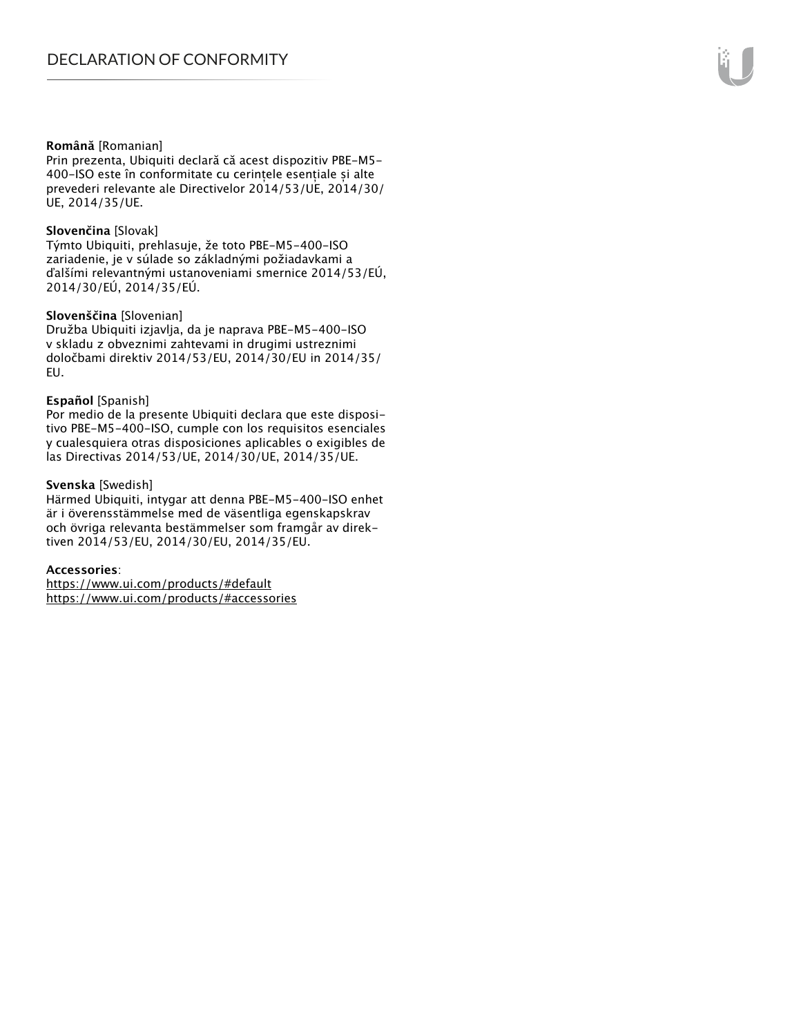#### **Română** [Romanian]

Prin prezenta, Ubiquiti declară că acest dispozitiv PBE-M5- 400-ISO este în conformitate cu cerințele esențiale și alte prevederi relevante ale Directivelor 2014/53/UE, 2014/30/ UE, 2014/35/UE.

#### **Slovenčina** [Slovak]

Týmto Ubiquiti, prehlasuje, že toto PBE-M5-400-ISO zariadenie, je v súlade so základnými požiadavkami a ďalšími relevantnými ustanoveniami smernice 2014/53/EÚ, 2014/30/EÚ, 2014/35/EÚ.

#### **Slovenščina** [Slovenian]

Družba Ubiquiti izjavlja, da je naprava PBE-M5-400-ISO v skladu z obveznimi zahtevami in drugimi ustreznimi določbami direktiv 2014/53/EU, 2014/30/EU in 2014/35/ EU.

#### **Español** [Spanish]

Por medio de la presente Ubiquiti declara que este dispositivo PBE-M5-400-ISO, cumple con los requisitos esenciales y cualesquiera otras disposiciones aplicables o exigibles de las Directivas 2014/53/UE, 2014/30/UE, 2014/35/UE.

#### **Svenska** [Swedish]

Härmed Ubiquiti, intygar att denna PBE-M5-400-ISO enhet är i överensstämmelse med de väsentliga egenskapskrav och övriga relevanta bestämmelser som framgår av direktiven 2014/53/EU, 2014/30/EU, 2014/35/EU.

#### **Accessories**:

https://www.ui.com/products/#default https://www.ui.com/products/#accessories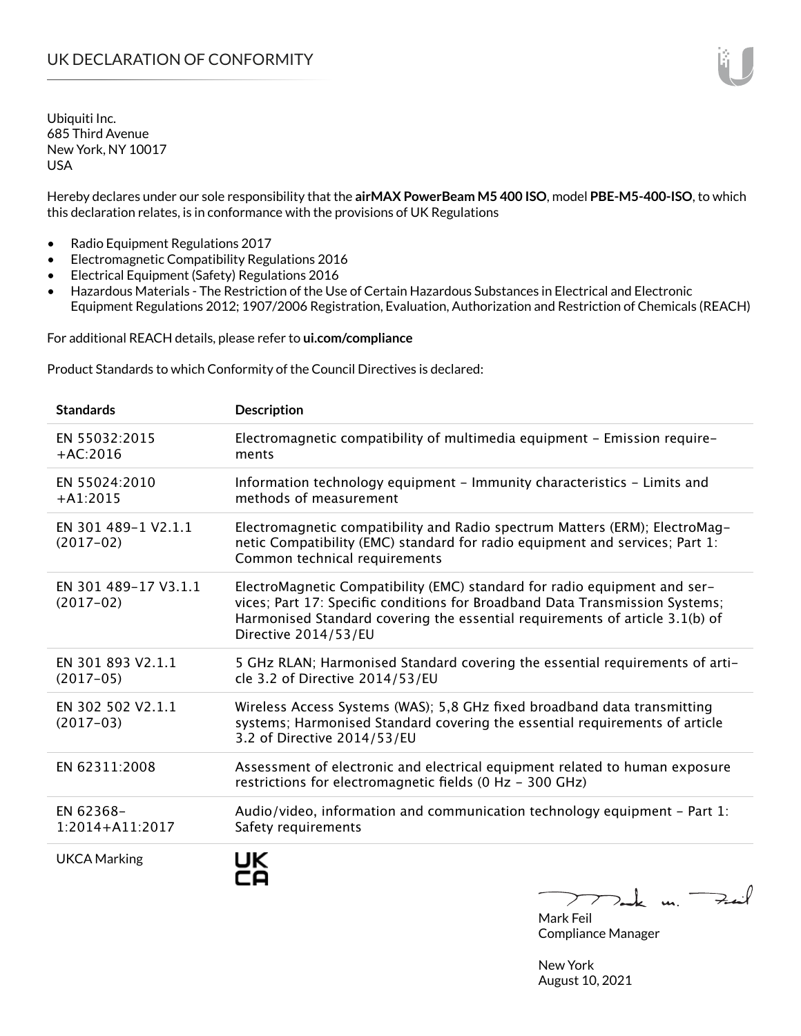Hereby declares under our sole responsibility that the **airMAX PowerBeam M5 400 ISO**, model **PBE-M5-400-ISO**, to which this declaration relates, is in conformance with the provisions of UK Regulations

- Radio Equipment Regulations 2017
- Electromagnetic Compatibility Regulations 2016
- Electrical Equipment (Safety) Regulations 2016
- Hazardous Materials The Restriction of the Use of Certain Hazardous Substances in Electrical and Electronic Equipment Regulations 2012; 1907/2006 Registration, Evaluation, Authorization and Restriction of Chemicals (REACH)

For additional REACH details, please refer to **ui.com/compliance**

Product Standards to which Conformity of the Council Directives is declared:

| <b>Standards</b>                    | <b>Description</b>                                                                                                                                                                                                                                                |
|-------------------------------------|-------------------------------------------------------------------------------------------------------------------------------------------------------------------------------------------------------------------------------------------------------------------|
| EN 55032:2015<br>$+AC:2016$         | Electromagnetic compatibility of multimedia equipment - Emission require-<br>ments                                                                                                                                                                                |
| EN 55024:2010<br>$+A1:2015$         | Information technology equipment - Immunity characteristics - Limits and<br>methods of measurement                                                                                                                                                                |
| EN 301 489-1 V2.1.1<br>$(2017-02)$  | Electromagnetic compatibility and Radio spectrum Matters (ERM); ElectroMag-<br>netic Compatibility (EMC) standard for radio equipment and services; Part 1:<br>Common technical requirements                                                                      |
| EN 301 489-17 V3.1.1<br>$(2017-02)$ | ElectroMagnetic Compatibility (EMC) standard for radio equipment and ser-<br>vices; Part 17: Specific conditions for Broadband Data Transmission Systems;<br>Harmonised Standard covering the essential requirements of article 3.1(b) of<br>Directive 2014/53/EU |
| EN 301 893 V2.1.1<br>$(2017-05)$    | 5 GHz RLAN; Harmonised Standard covering the essential requirements of arti-<br>cle 3.2 of Directive 2014/53/EU                                                                                                                                                   |
| EN 302 502 V2.1.1<br>$(2017-03)$    | Wireless Access Systems (WAS); 5,8 GHz fixed broadband data transmitting<br>systems; Harmonised Standard covering the essential requirements of article<br>3.2 of Directive 2014/53/EU                                                                            |
| EN 62311:2008                       | Assessment of electronic and electrical equipment related to human exposure<br>restrictions for electromagnetic fields (0 Hz - 300 GHz)                                                                                                                           |
| EN 62368-<br>1:2014+A11:2017        | Audio/video, information and communication technology equipment $-$ Part 1:<br>Safety requirements                                                                                                                                                                |
| <b>UKCA Marking</b>                 | UK<br>$T$ and $\kappa$ un.                                                                                                                                                                                                                                        |

Mark Feil Compliance Manager

New York August 10, 2021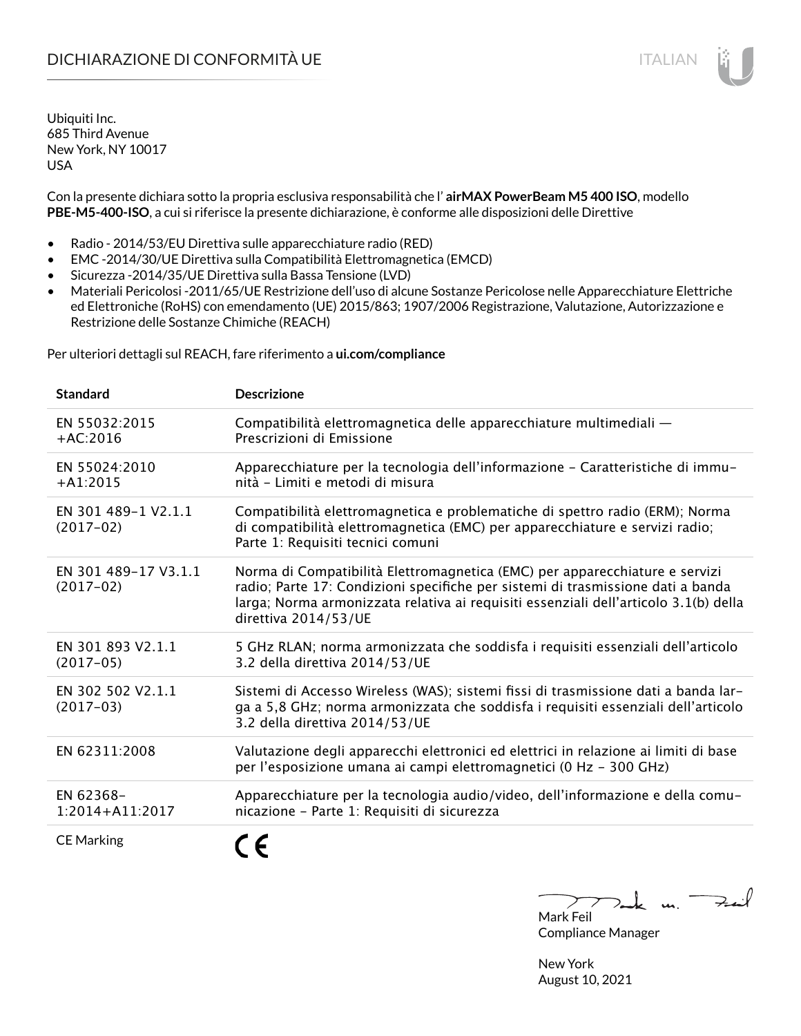## DICHIARAZIONE DI CONFORMITÀ UE ITALIAN ITALIAN

Ubiquiti Inc. 685 Third Avenue New York, NY 10017 USA

Con la presente dichiara sotto la propria esclusiva responsabilità che l' **airMAX PowerBeam M5 400 ISO**, modello **PBE-M5-400-ISO**, a cui si riferisce la presente dichiarazione, è conforme alle disposizioni delle Direttive

- Radio 2014/53/EU Direttiva sulle apparecchiature radio (RED)
- EMC -2014/30/UE Direttiva sulla Compatibilità Elettromagnetica (EMCD)
- Sicurezza -2014/35/UE Direttiva sulla Bassa Tensione (LVD)
- Materiali Pericolosi -2011/65/UE Restrizione dell'uso di alcune Sostanze Pericolose nelle Apparecchiature Elettriche ed Elettroniche (RoHS) con emendamento (UE) 2015/863; 1907/2006 Registrazione, Valutazione, Autorizzazione e Restrizione delle Sostanze Chimiche (REACH)

Per ulteriori dettagli sul REACH, fare riferimento a **ui.com/compliance**

| <b>Standard</b>                     | <b>Descrizione</b>                                                                                                                                                                                                                                                             |
|-------------------------------------|--------------------------------------------------------------------------------------------------------------------------------------------------------------------------------------------------------------------------------------------------------------------------------|
| EN 55032:2015<br>$+AC:2016$         | Compatibilità elettromagnetica delle apparecchiature multimediali -<br>Prescrizioni di Emissione                                                                                                                                                                               |
| EN 55024:2010<br>$+A1:2015$         | Apparecchiature per la tecnologia dell'informazione - Caratteristiche di immu-<br>nità - Limiti e metodi di misura                                                                                                                                                             |
| EN 301 489-1 V2.1.1<br>$(2017-02)$  | Compatibilità elettromagnetica e problematiche di spettro radio (ERM); Norma<br>di compatibilità elettromagnetica (EMC) per apparecchiature e servizi radio;<br>Parte 1: Requisiti tecnici comuni                                                                              |
| EN 301 489-17 V3.1.1<br>$(2017-02)$ | Norma di Compatibilità Elettromagnetica (EMC) per apparecchiature e servizi<br>radio; Parte 17: Condizioni specifiche per sistemi di trasmissione dati a banda<br>larga; Norma armonizzata relativa ai requisiti essenziali dell'articolo 3.1(b) della<br>direttiva 2014/53/UE |
| EN 301 893 V2.1.1<br>$(2017-05)$    | 5 GHz RLAN; norma armonizzata che soddisfa i requisiti essenziali dell'articolo<br>3.2 della direttiva 2014/53/UE                                                                                                                                                              |
| EN 302 502 V2.1.1<br>$(2017-03)$    | Sistemi di Accesso Wireless (WAS); sistemi fissi di trasmissione dati a banda lar-<br>ga a 5,8 GHz; norma armonizzata che soddisfa i requisiti essenziali dell'articolo<br>3.2 della direttiva 2014/53/UE                                                                      |
| EN 62311:2008                       | Valutazione degli apparecchi elettronici ed elettrici in relazione ai limiti di base<br>per l'esposizione umana ai campi elettromagnetici (0 Hz - 300 GHz)                                                                                                                     |
| EN 62368-<br>1:2014+A11:2017        | Apparecchiature per la tecnologia audio/video, dell'informazione e della comu-<br>nicazione - Parte 1: Requisiti di sicurezza                                                                                                                                                  |
| <b>CE Marking</b>                   |                                                                                                                                                                                                                                                                                |

 $k$  un  $\rightarrow$ Mark Feil

Compliance Manager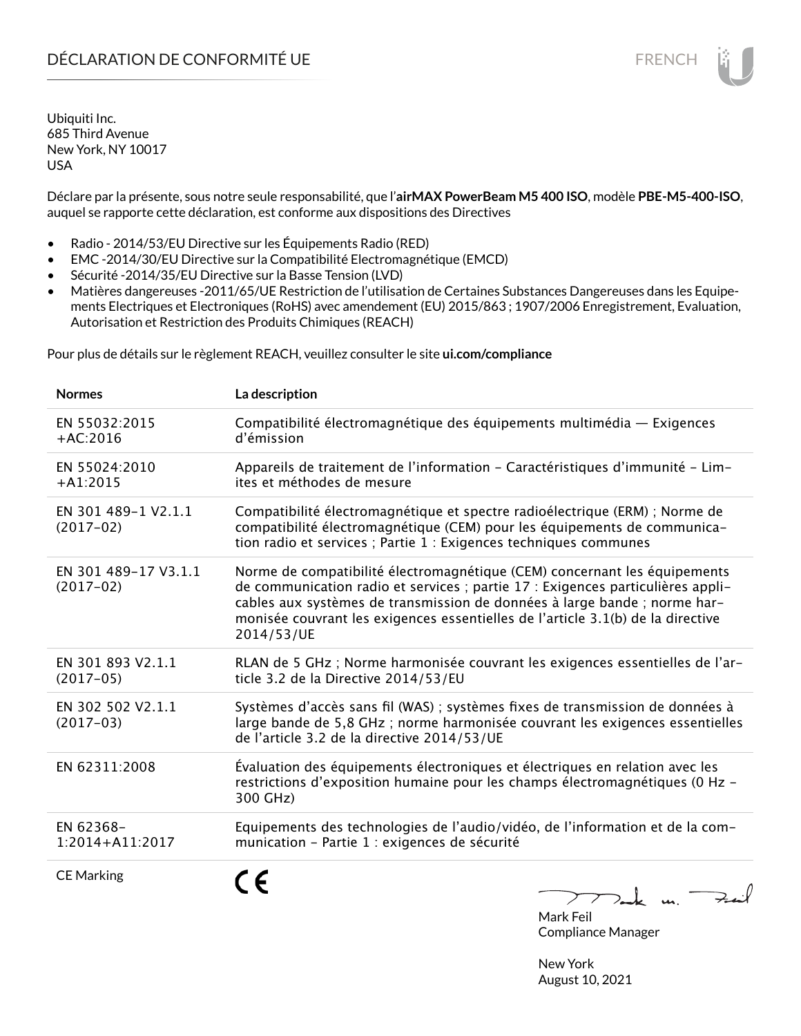Déclare par la présente, sous notre seule responsabilité, que l'**airMAX PowerBeam M5 400 ISO**, modèle **PBE-M5-400-ISO**, auquel se rapporte cette déclaration, est conforme aux dispositions des Directives

- Radio 2014/53/EU Directive sur les Équipements Radio (RED)
- EMC -2014/30/EU Directive sur la Compatibilité Electromagnétique (EMCD)
- Sécurité -2014/35/EU Directive sur la Basse Tension (LVD)
- Matières dangereuses -2011/65/UE Restriction de l'utilisation de Certaines Substances Dangereuses dans les Equipements Electriques et Electroniques (RoHS) avec amendement (EU) 2015/863 ; 1907/2006 Enregistrement, Evaluation, Autorisation et Restriction des Produits Chimiques (REACH)

Pour plus de détails sur le règlement REACH, veuillez consulter le site **ui.com/compliance**

| <b>Normes</b>                       | La description                                                                                                                                                                                                                                                                                                                             |
|-------------------------------------|--------------------------------------------------------------------------------------------------------------------------------------------------------------------------------------------------------------------------------------------------------------------------------------------------------------------------------------------|
| EN 55032:2015<br>$+AC:2016$         | Compatibilité électromagnétique des équipements multimédia — Exigences<br>d'émission                                                                                                                                                                                                                                                       |
| EN 55024:2010<br>$+A1:2015$         | Appareils de traitement de l'information - Caractéristiques d'immunité - Lim-<br>ites et méthodes de mesure                                                                                                                                                                                                                                |
| EN 301 489-1 V2.1.1<br>$(2017-02)$  | Compatibilité électromagnétique et spectre radioélectrique (ERM) ; Norme de<br>compatibilité électromagnétique (CEM) pour les équipements de communica-<br>tion radio et services ; Partie 1 : Exigences techniques communes                                                                                                               |
| EN 301 489-17 V3.1.1<br>$(2017-02)$ | Norme de compatibilité électromagnétique (CEM) concernant les équipements<br>de communication radio et services ; partie 17 : Exigences particulières appli-<br>cables aux systèmes de transmission de données à large bande ; norme har-<br>monisée couvrant les exigences essentielles de l'article 3.1(b) de la directive<br>2014/53/UE |
| EN 301 893 V2.1.1<br>$(2017-05)$    | RLAN de 5 GHz ; Norme harmonisée couvrant les exigences essentielles de l'ar-<br>ticle 3.2 de la Directive 2014/53/EU                                                                                                                                                                                                                      |
| EN 302 502 V2.1.1<br>$(2017-03)$    | Systèmes d'accès sans fil (WAS) ; systèmes fixes de transmission de données à<br>large bande de 5,8 GHz; norme harmonisée couvrant les exigences essentielles<br>de l'article 3.2 de la directive 2014/53/UE                                                                                                                               |
| EN 62311:2008                       | Évaluation des équipements électroniques et électriques en relation avec les<br>restrictions d'exposition humaine pour les champs électromagnétiques (0 Hz -<br>300 GHz)                                                                                                                                                                   |
| EN 62368-<br>1:2014+A11:2017        | Equipements des technologies de l'audio/vidéo, de l'information et de la com-<br>munication - Partie 1 : exigences de sécurité                                                                                                                                                                                                             |
| <b>CE Marking</b>                   | $\nabla$ ark un.                                                                                                                                                                                                                                                                                                                           |

Mark Feil Compliance Manager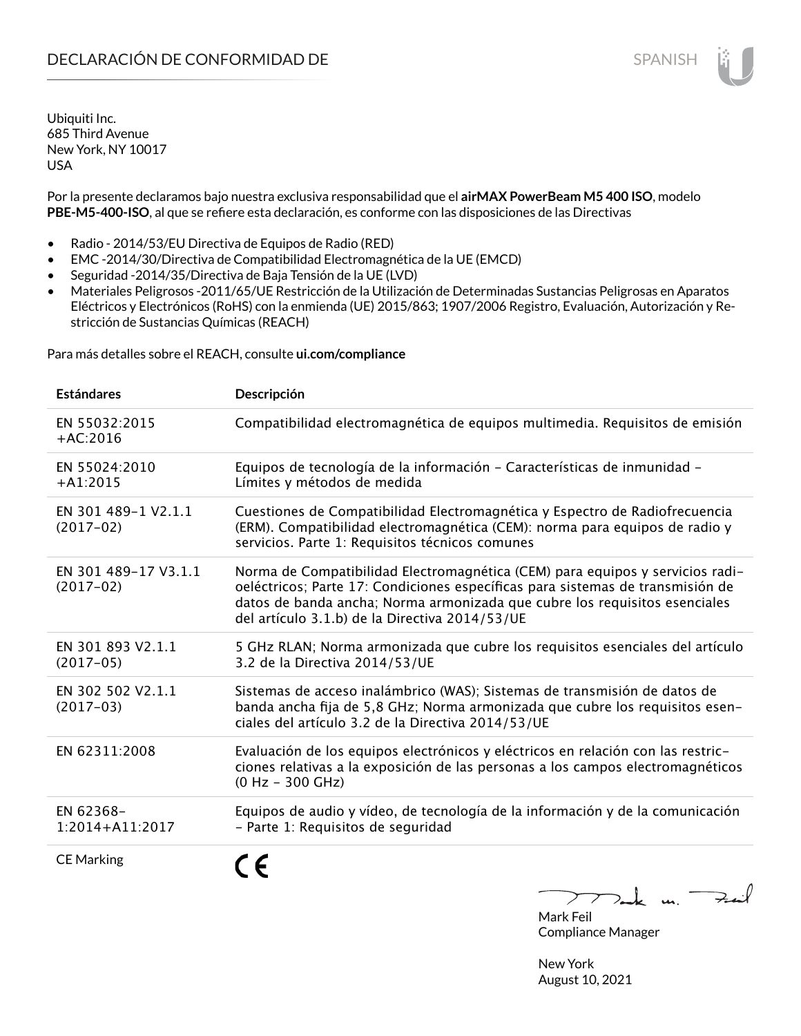Por la presente declaramos bajo nuestra exclusiva responsabilidad que el **airMAX PowerBeam M5 400 ISO**, modelo **PBE-M5-400-ISO**, al que se refiere esta declaración, es conforme con las disposiciones de las Directivas

- Radio 2014/53/EU Directiva de Equipos de Radio (RED)
- EMC -2014/30/Directiva de Compatibilidad Electromagnética de la UE (EMCD)
- Seguridad -2014/35/Directiva de Baja Tensión de la UE (LVD)
- Materiales Peligrosos -2011/65/UE Restricción de la Utilización de Determinadas Sustancias Peligrosas en Aparatos Eléctricos y Electrónicos (RoHS) con la enmienda (UE) 2015/863; 1907/2006 Registro, Evaluación, Autorización y Restricción de Sustancias Químicas (REACH)

Para más detalles sobre el REACH, consulte **ui.com/compliance**

| <b>Estándares</b>                   | Descripción                                                                                                                                                                                                                                                                                     |
|-------------------------------------|-------------------------------------------------------------------------------------------------------------------------------------------------------------------------------------------------------------------------------------------------------------------------------------------------|
| EN 55032:2015<br>$+AC:2016$         | Compatibilidad electromagnética de equipos multimedia. Requisitos de emisión                                                                                                                                                                                                                    |
| EN 55024:2010<br>$+A1:2015$         | Equipos de tecnología de la información - Características de inmunidad -<br>Límites y métodos de medida                                                                                                                                                                                         |
| EN 301 489-1 V2.1.1<br>$(2017-02)$  | Cuestiones de Compatibilidad Electromagnética y Espectro de Radiofrecuencia<br>(ERM). Compatibilidad electromagnética (CEM): norma para equipos de radio y<br>servicios. Parte 1: Requisitos técnicos comunes                                                                                   |
| EN 301 489-17 V3.1.1<br>$(2017-02)$ | Norma de Compatibilidad Electromagnética (CEM) para equipos y servicios radi-<br>oeléctricos; Parte 17: Condiciones específicas para sistemas de transmisión de<br>datos de banda ancha; Norma armonizada que cubre los requisitos esenciales<br>del artículo 3.1.b) de la Directiva 2014/53/UE |
| EN 301 893 V2.1.1<br>$(2017-05)$    | 5 GHz RLAN; Norma armonizada que cubre los requisitos esenciales del artículo<br>3.2 de la Directiva 2014/53/UE                                                                                                                                                                                 |
| EN 302 502 V2.1.1<br>$(2017-03)$    | Sistemas de acceso inalámbrico (WAS); Sistemas de transmisión de datos de<br>banda ancha fija de 5,8 GHz; Norma armonizada que cubre los requisitos esen-<br>ciales del artículo 3.2 de la Directiva 2014/53/UE                                                                                 |
| EN 62311:2008                       | Evaluación de los equipos electrónicos y eléctricos en relación con las restric-<br>ciones relativas a la exposición de las personas a los campos electromagnéticos<br>$(0 Hz - 300 GHz)$                                                                                                       |
| EN 62368-<br>$1:2014 + A11:2017$    | Equipos de audio y vídeo, de tecnología de la información y de la comunicación<br>- Parte 1: Requisitos de seguridad                                                                                                                                                                            |
| <b>CE Marking</b>                   |                                                                                                                                                                                                                                                                                                 |

Tak un Fail

Mark Feil Compliance Manager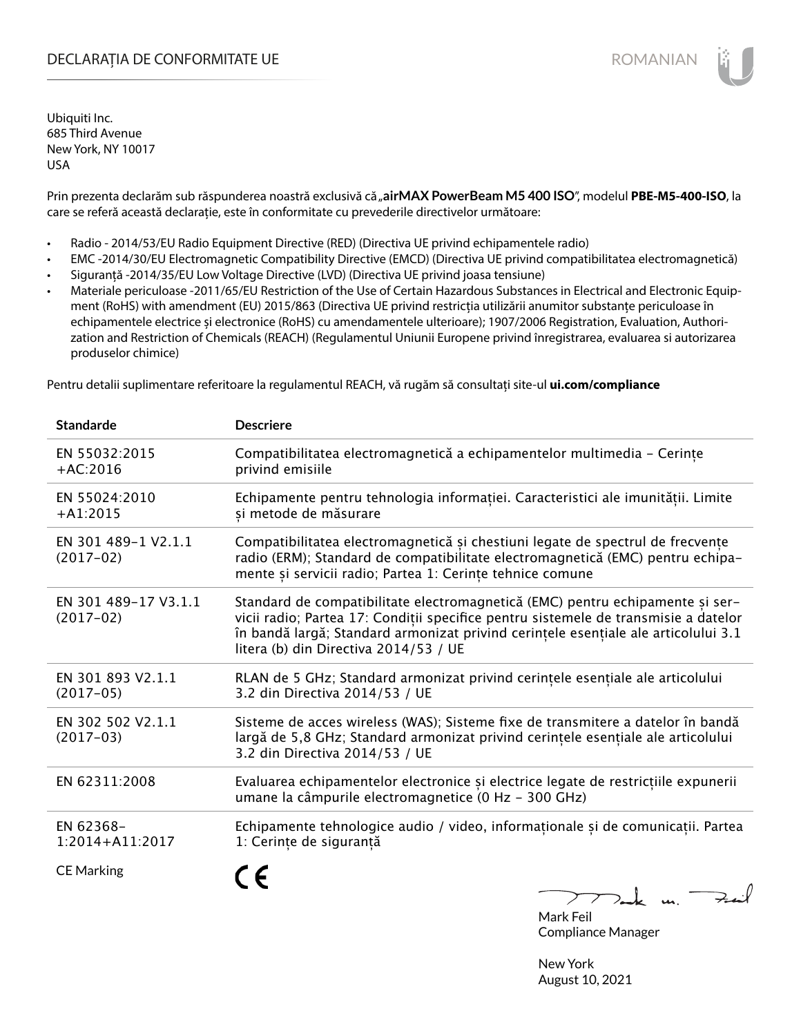## DECLARAȚIA DE CONFORMITATE UE EXECUTE DE ROMANIAN

Ubiquiti Inc. 685 Third Avenue New York, NY 10017 USA

Prin prezenta declarăm sub răspunderea noastră exclusivă că "airMAX PowerBeam M5 400 ISO", modelul PBE-M5-400-ISO, la care se referă această declarație, este în conformitate cu prevederile directivelor următoare:

- Radio 2014/53/EU Radio Equipment Directive (RED) (Directiva UE privind echipamentele radio)
- EMC -2014/30/EU Electromagnetic Compatibility Directive (EMCD) (Directiva UE privind compatibilitatea electromagnetică)
- Siguranță -2014/35/EU Low Voltage Directive (LVD) (Directiva UE privind joasa tensiune)
- Materiale periculoase -2011/65/EU Restriction of the Use of Certain Hazardous Substances in Electrical and Electronic Equipment (RoHS) with amendment (EU) 2015/863 (Directiva UE privind restricția utilizării anumitor substanțe periculoase în echipamentele electrice și electronice (RoHS) cu amendamentele ulterioare); 1907/2006 Registration, Evaluation, Authorization and Restriction of Chemicals (REACH) (Regulamentul Uniunii Europene privind înregistrarea, evaluarea si autorizarea produselor chimice)

Pentru detalii suplimentare referitoare la regulamentul REACH, vă rugăm să consultați site-ul **ui.com/compliance**

| <b>Standarde</b>                    | <b>Descriere</b>                                                                                                                                                                                                                                                                                    |
|-------------------------------------|-----------------------------------------------------------------------------------------------------------------------------------------------------------------------------------------------------------------------------------------------------------------------------------------------------|
| EN 55032:2015<br>$+AC:2016$         | Compatibilitatea electromagnetică a echipamentelor multimedia - Cerințe<br>privind emisiile                                                                                                                                                                                                         |
| EN 55024:2010<br>$+A1:2015$         | Echipamente pentru tehnologia informației. Caracteristici ale imunității. Limite<br>și metode de măsurare                                                                                                                                                                                           |
| EN 301 489-1 V2.1.1<br>$(2017-02)$  | Compatibilitatea electromagnetică și chestiuni legate de spectrul de frecvențe<br>radio (ERM); Standard de compatibilitate electromagnetică (EMC) pentru echipa-<br>mente și servicii radio; Partea 1: Cerințe tehnice comune                                                                       |
| EN 301 489-17 V3.1.1<br>$(2017-02)$ | Standard de compatibilitate electromagnetică (EMC) pentru echipamente și ser-<br>vicii radio; Partea 17: Condiții specifice pentru sistemele de transmisie a datelor<br>în bandă largă; Standard armonizat privind cerințele esențiale ale articolului 3.1<br>litera (b) din Directiva 2014/53 / UE |
| EN 301 893 V2.1.1<br>$(2017-05)$    | RLAN de 5 GHz; Standard armonizat privind cerințele esențiale ale articolului<br>3.2 din Directiva 2014/53 / UE                                                                                                                                                                                     |
| EN 302 502 V2.1.1<br>$(2017-03)$    | Sisteme de acces wireless (WAS); Sisteme fixe de transmitere a datelor în bandă<br>largă de 5,8 GHz; Standard armonizat privind cerințele esențiale ale articolului<br>3.2 din Directiva 2014/53 / UE                                                                                               |
| EN 62311:2008                       | Evaluarea echipamentelor electronice și electrice legate de restricțiile expunerii<br>umane la câmpurile electromagnetice (0 Hz - 300 GHz)                                                                                                                                                          |
| EN 62368-<br>1:2014+A11:2017        | Echipamente tehnologice audio / video, informaționale și de comunicații. Partea<br>1: Cerințe de siguranță                                                                                                                                                                                          |
| <b>CE Marking</b>                   | 772km                                                                                                                                                                                                                                                                                               |

Mark Feil Compliance Manager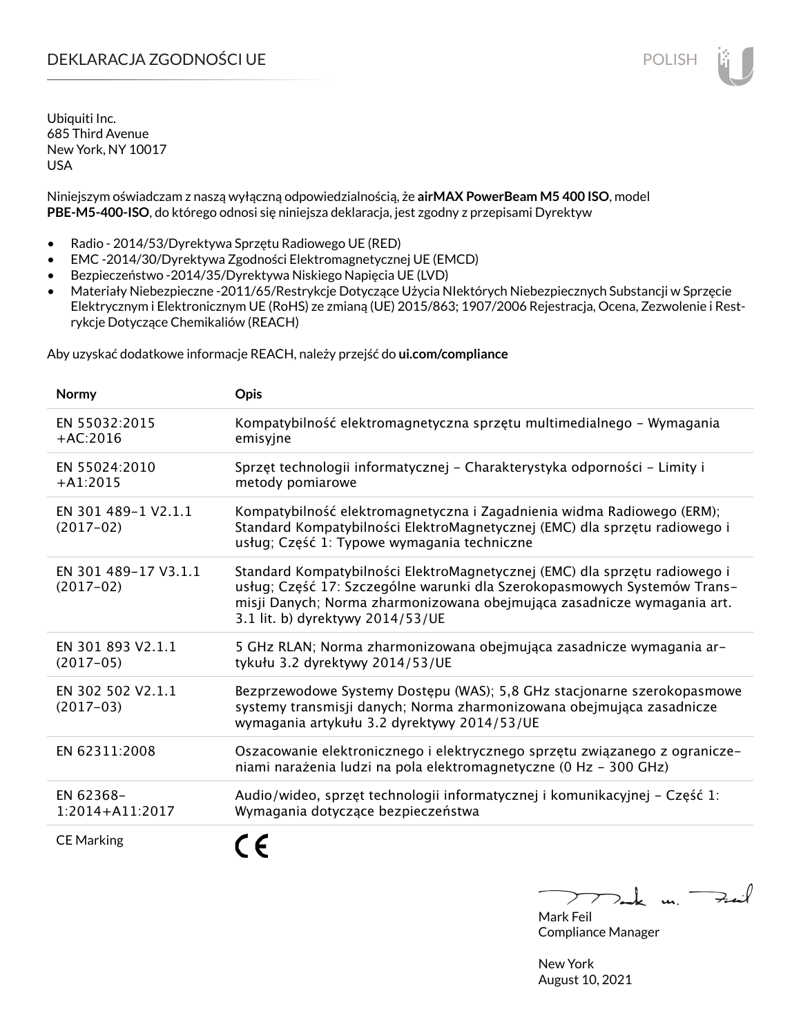## DEKLARACJA ZGODNOŚCI UE POLISH POLISH

Ubiquiti Inc. 685 Third Avenue New York, NY 10017 USA

Niniejszym oświadczam z naszą wyłączną odpowiedzialnością, że **airMAX PowerBeam M5 400 ISO**, model **PBE-M5-400-ISO**, do którego odnosi się niniejsza deklaracja, jest zgodny z przepisami Dyrektyw

- Radio 2014/53/Dyrektywa Sprzętu Radiowego UE (RED)
- EMC -2014/30/Dyrektywa Zgodności Elektromagnetycznej UE (EMCD)
- Bezpieczeństwo -2014/35/Dyrektywa Niskiego Napięcia UE (LVD)
- Materiały Niebezpieczne -2011/65/Restrykcje Dotyczące Użycia NIektórych Niebezpiecznych Substancji w Sprzęcie Elektrycznym i Elektronicznym UE (RoHS) ze zmianą (UE) 2015/863; 1907/2006 Rejestracja, Ocena, Zezwolenie i Restrykcje Dotyczące Chemikaliów (REACH)

Aby uzyskać dodatkowe informacje REACH, należy przejść do **ui.com/compliance**

| Normy                               | <b>Opis</b>                                                                                                                                                                                                                                                           |
|-------------------------------------|-----------------------------------------------------------------------------------------------------------------------------------------------------------------------------------------------------------------------------------------------------------------------|
| EN 55032:2015<br>$+AC:2016$         | Kompatybilność elektromagnetyczna sprzętu multimedialnego – Wymagania<br>emisyjne                                                                                                                                                                                     |
| EN 55024:2010<br>$+A1:2015$         | Sprzęt technologii informatycznej - Charakterystyka odporności - Limity i<br>metody pomiarowe                                                                                                                                                                         |
| EN 301 489-1 V2.1.1<br>$(2017-02)$  | Kompatybilność elektromagnetyczna i Zagadnienia widma Radiowego (ERM);<br>Standard Kompatybilności ElektroMagnetycznej (EMC) dla sprzętu radiowego i<br>usług; Część 1: Typowe wymagania techniczne                                                                   |
| EN 301 489-17 V3.1.1<br>$(2017-02)$ | Standard Kompatybilności ElektroMagnetycznej (EMC) dla sprzętu radiowego i<br>usług; Część 17: Szczególne warunki dla Szerokopasmowych Systemów Trans-<br>misji Danych; Norma zharmonizowana obejmująca zasadnicze wymagania art.<br>3.1 lit. b) dyrektywy 2014/53/UE |
| EN 301 893 V2.1.1<br>$(2017-05)$    | 5 GHz RLAN; Norma zharmonizowana obejmująca zasadnicze wymagania ar-<br>tykułu 3.2 dyrektywy 2014/53/UE                                                                                                                                                               |
| EN 302 502 V2.1.1<br>$(2017-03)$    | Bezprzewodowe Systemy Dostępu (WAS); 5,8 GHz stacjonarne szerokopasmowe<br>systemy transmisji danych; Norma zharmonizowana obejmująca zasadnicze<br>wymagania artykułu 3.2 dyrektywy 2014/53/UE                                                                       |
| EN 62311:2008                       | Oszacowanie elektronicznego i elektrycznego sprzętu związanego z ogranicze-<br>niami narażenia ludzi na pola elektromagnetyczne (0 Hz - 300 GHz)                                                                                                                      |
| EN 62368-<br>$1:2014 + A11:2017$    | Audio/wideo, sprzęt technologii informatycznej i komunikacyjnej – Część 1:<br>Wymagania dotyczące bezpieczeństwa                                                                                                                                                      |
| <b>CE Marking</b>                   |                                                                                                                                                                                                                                                                       |

Dank m. Fail

Mark Feil Compliance Manager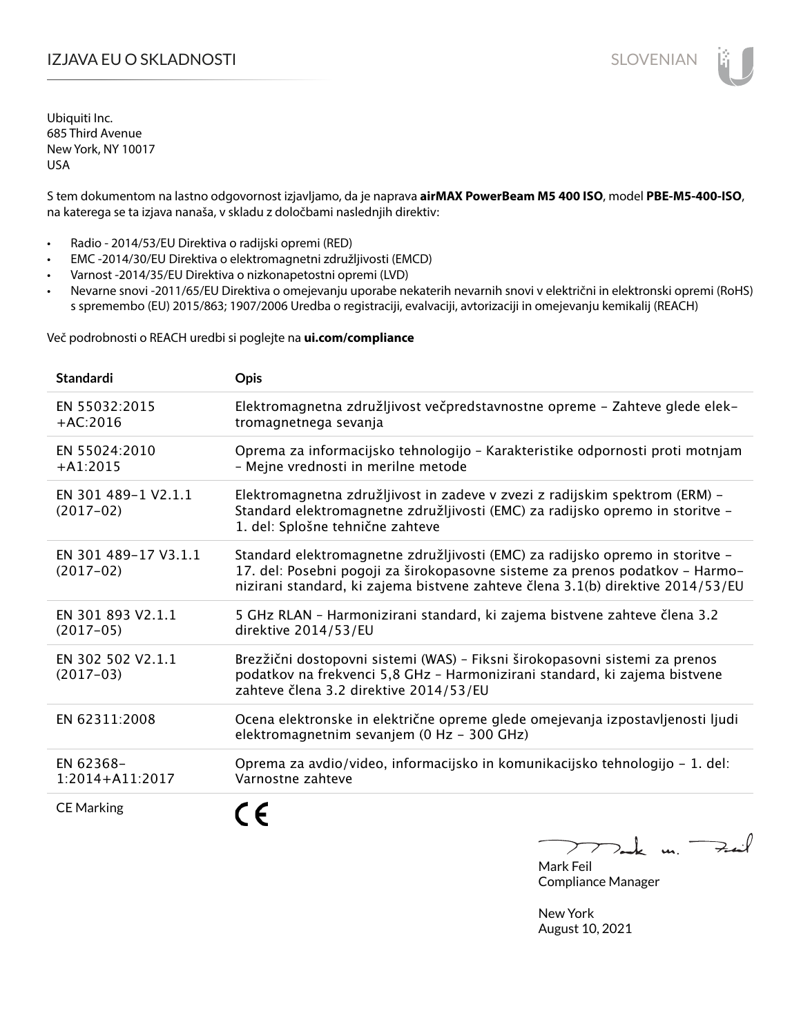S tem dokumentom na lastno odgovornost izjavljamo, da je naprava **airMAX PowerBeam M5 400 ISO**, model **PBE-M5-400-ISO**, na katerega se ta izjava nanaša, v skladu z določbami naslednjih direktiv:

- Radio 2014/53/EU Direktiva o radijski opremi (RED)
- EMC -2014/30/EU Direktiva o elektromagnetni združljivosti (EMCD)
- Varnost -2014/35/EU Direktiva o nizkonapetostni opremi (LVD)
- Nevarne snovi -2011/65/EU Direktiva o omejevanju uporabe nekaterih nevarnih snovi v električni in elektronski opremi (RoHS) s spremembo (EU) 2015/863; 1907/2006 Uredba o registraciji, evalvaciji, avtorizaciji in omejevanju kemikalij (REACH)

Več podrobnosti o REACH uredbi si poglejte na **ui.com/compliance**

| <b>Standardi</b>                    | Opis                                                                                                                                                                                                                                             |
|-------------------------------------|--------------------------------------------------------------------------------------------------------------------------------------------------------------------------------------------------------------------------------------------------|
| EN 55032:2015<br>$+AC:2016$         | Elektromagnetna združljivost večpredstavnostne opreme - Zahteve glede elek-<br>tromagnetnega sevanja                                                                                                                                             |
| EN 55024:2010<br>$+A1:2015$         | Oprema za informacijsko tehnologijo - Karakteristike odpornosti proti motnjam<br>- Mejne vrednosti in merilne metode                                                                                                                             |
| EN 301 489-1 V2.1.1<br>$(2017-02)$  | Elektromagnetna združljivost in zadeve v zvezi z radijskim spektrom (ERM) -<br>Standard elektromagnetne združljivosti (EMC) za radijsko opremo in storitve -<br>1. del: Splošne tehnične zahteve                                                 |
| EN 301 489-17 V3.1.1<br>$(2017-02)$ | Standard elektromagnetne združljivosti (EMC) za radijsko opremo in storitve -<br>17. del: Posebni pogoji za širokopasovne sisteme za prenos podatkov - Harmo-<br>nizirani standard, ki zajema bistvene zahteve člena 3.1(b) direktive 2014/53/EU |
| EN 301 893 V2.1.1<br>$(2017-05)$    | 5 GHz RLAN - Harmonizirani standard, ki zajema bistvene zahteve člena 3.2<br>direktive 2014/53/EU                                                                                                                                                |
| EN 302 502 V2.1.1<br>$(2017-03)$    | Brezžični dostopovni sistemi (WAS) - Fiksni širokopasovni sistemi za prenos<br>podatkov na frekvenci 5,8 GHz - Harmonizirani standard, ki zajema bistvene<br>zahteve člena 3.2 direktive 2014/53/EU                                              |
| EN 62311:2008                       | Ocena elektronske in električne opreme glede omejevanja izpostavljenosti ljudi<br>elektromagnetnim sevanjem (0 Hz - 300 GHz)                                                                                                                     |
| EN 62368-<br>$1:2014 + A11:2017$    | Oprema za avdio/video, informacijsko in komunikacijsko tehnologijo - 1. del:<br>Varnostne zahteve                                                                                                                                                |
| <b>CE Marking</b>                   |                                                                                                                                                                                                                                                  |

 $k$  m. Fail  $\sum_{k=1}^{n}$ 

Mark Feil Compliance Manager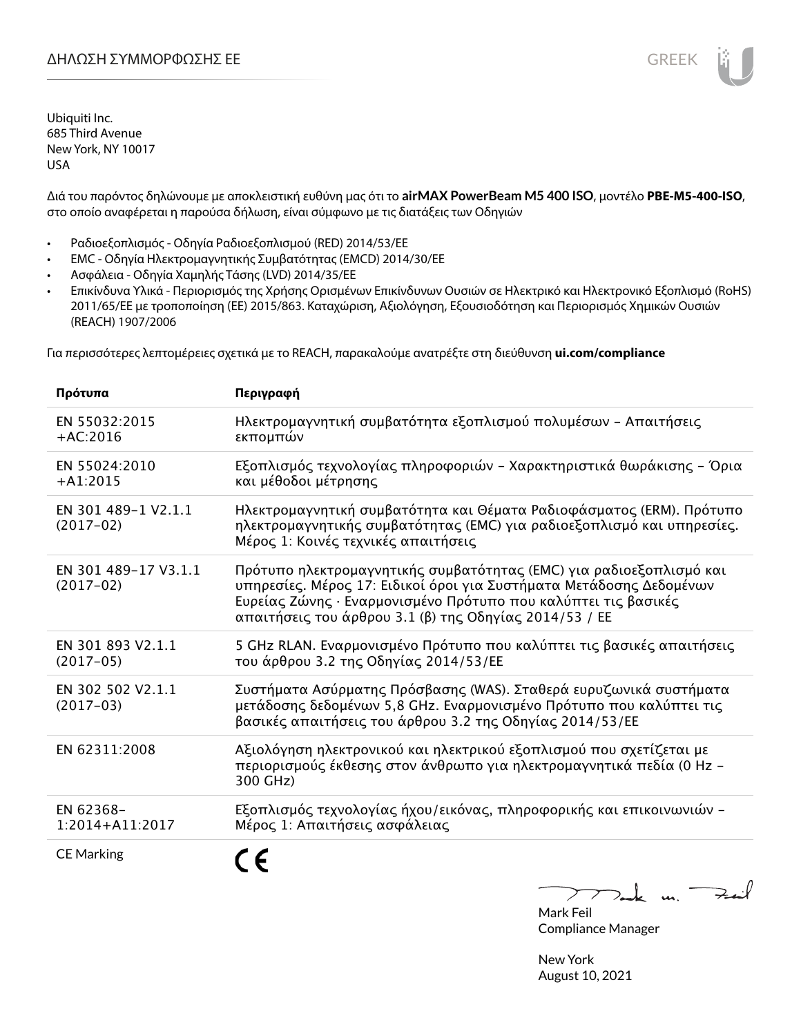Διά του παρόντος δηλώνουμε με αποκλειστική ευθύνη μας ότι το **airMAX PowerBeam M5 400 ISO**, μοντέλο **PBE-M5-400-ISO**, στο οποίο αναφέρεται η παρούσα δήλωση, είναι σύμφωνο με τις διατάξεις των Οδηγιών

- Ραδιοεξοπλισμός Οδηγία Ραδιοεξοπλισμού (RED) 2014/53/ΕΕ
- EMC Οδηγία Ηλεκτρομαγνητικής Συμβατότητας (EMCD) 2014/30/ΕΕ
- Ασφάλεια Οδηγία Χαμηλής Τάσης (LVD) 2014/35/ΕΕ
- Επικίνδυνα Υλικά Περιορισμός της Χρήσης Ορισμένων Επικίνδυνων Ουσιών σε Ηλεκτρικό και Ηλεκτρονικό Εξοπλισμό (RoHS) 2011/65/ΕΕ με τροποποίηση (ΕΕ) 2015/863. Καταχώριση, Αξιολόγηση, Εξουσιοδότηση και Περιορισμός Χημικών Ουσιών (REACH) 1907/2006

Για περισσότερες λεπτομέρειες σχετικά με το REACH, παρακαλούμε ανατρέξτε στη διεύθυνση **ui.com/compliance**

| Πρότυπα                             | Περιγραφή                                                                                                                                                                                                                                                              |
|-------------------------------------|------------------------------------------------------------------------------------------------------------------------------------------------------------------------------------------------------------------------------------------------------------------------|
| EN 55032:2015<br>$+AC:2016$         | Ηλεκτρομαγνητική συμβατότητα εξοπλισμού πολυμέσων - Απαιτήσεις<br>εκπομπών                                                                                                                                                                                             |
| EN 55024:2010<br>$+A1:2015$         | Εξοπλισμός τεχνολογίας πληροφοριών - Χαρακτηριστικά θωράκισης - Όρια<br>και μέθοδοι μέτρησης                                                                                                                                                                           |
| EN 301 489-1 V2.1.1<br>$(2017-02)$  | Ηλεκτρομαγνητική συμβατότητα και Θέματα Ραδιοφάσματος (ERM). Πρότυπο<br>ηλεκτρομαγνητικής συμβατότητας (ΕΜC) για ραδιοεξοπλισμό και υπηρεσίες.<br>Μέρος 1: Κοινές τεχνικές απαιτήσεις                                                                                  |
| EN 301 489-17 V3.1.1<br>$(2017-02)$ | Πρότυπο ηλεκτρομαγνητικής συμβατότητας (ΕΜC) για ραδιοεξοπλισμό και<br>υπηρεσίες. Μέρος 17: Ειδικοί όροι για Συστήματα Μετάδοσης Δεδομένων<br>Ευρείας Ζώνης · Εναρμονισμένο Πρότυπο που καλύπτει τις βασικές<br>απαιτήσεις του άρθρου 3.1 (β) της Οδηγίας 2014/53 / ΕΕ |
| EN 301 893 V2.1.1<br>$(2017-05)$    | 5 GHz RLAN. Εναρμονισμένο Πρότυπο που καλύπτει τις βασικές απαιτήσεις<br>του άρθρου 3.2 της Οδηγίας 2014/53/ΕΕ                                                                                                                                                         |
| EN 302 502 V2.1.1<br>$(2017-03)$    | Συστήματα Ασύρματης Πρόσβασης (WAS). Σταθερά ευρυζωνικά συστήματα<br>μετάδοσης δεδομένων 5,8 GHz. Εναρμονισμένο Πρότυπο που καλύπτει τις<br>βασικές απαιτήσεις του άρθρου 3.2 της Οδηγίας 2014/53/ΕΕ                                                                   |
| EN 62311:2008                       | Αξιολόγηση ηλεκτρονικού και ηλεκτρικού εξοπλισμού που σχετίζεται με<br>περιορισμούς έκθεσης στον άνθρωπο για ηλεκτρομαγνητικά πεδία (0 Hz -<br>300 GHz)                                                                                                                |
| EN 62368-<br>$1:2014 + A11:2017$    | Εξοπλισμός τεχνολογίας ήχου/εικόνας, πληροφορικής και επικοινωνιών –<br>Μέρος 1: Απαιτήσεις ασφάλειας                                                                                                                                                                  |
| <b>CE Marking</b>                   |                                                                                                                                                                                                                                                                        |

Tak un Fail  $\sum$ 

Mark Feil Compliance Manager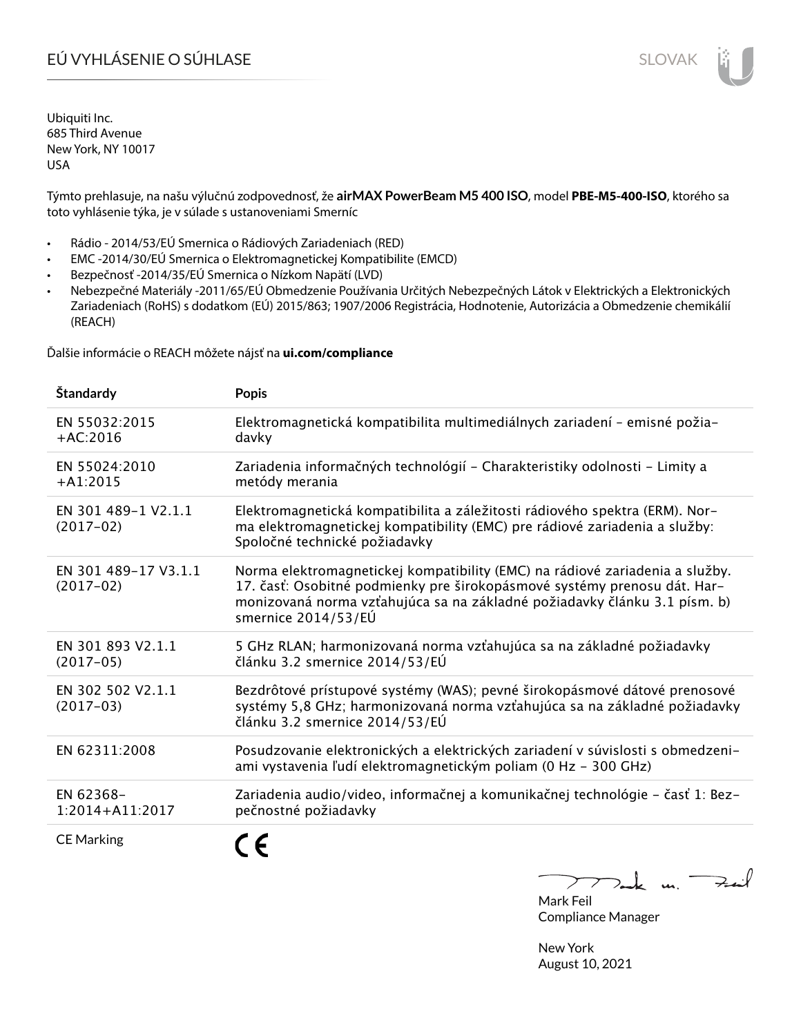# EÚ VYHLÁSENIE O SÚHLASE SLOVAK SLOVAK

Ubiquiti Inc. 685 Third Avenue New York, NY 10017 USA

Týmto prehlasuje, na našu výlučnú zodpovednosť, že **airMAX PowerBeam M5 400 ISO**, model **PBE-M5-400-ISO**, ktorého sa toto vyhlásenie týka, je v súlade s ustanoveniami Smerníc

- Rádio 2014/53/EÚ Smernica o Rádiových Zariadeniach (RED)
- EMC -2014/30/EÚ Smernica o Elektromagnetickej Kompatibilite (EMCD)
- Bezpečnosť -2014/35/EÚ Smernica o Nízkom Napätí (LVD)
- Nebezpečné Materiály -2011/65/EÚ Obmedzenie Používania Určitých Nebezpečných Látok v Elektrických a Elektronických Zariadeniach (RoHS) s dodatkom (EÚ) 2015/863; 1907/2006 Registrácia, Hodnotenie, Autorizácia a Obmedzenie chemikálií (REACH)

Ďalšie informácie o REACH môžete nájsť na **ui.com/compliance**

| Štandardy                           | <b>Popis</b>                                                                                                                                                                                                                                                 |
|-------------------------------------|--------------------------------------------------------------------------------------------------------------------------------------------------------------------------------------------------------------------------------------------------------------|
| EN 55032:2015<br>$+AC:2016$         | Elektromagnetická kompatibilita multimediálnych zariadení - emisné požia-<br>davky                                                                                                                                                                           |
| EN 55024:2010<br>$+A1:2015$         | Zariadenia informačných technológií - Charakteristiky odolnosti - Limity a<br>metódy merania                                                                                                                                                                 |
| EN 301 489-1 V2.1.1<br>$(2017-02)$  | Elektromagnetická kompatibilita a záležitosti rádiového spektra (ERM). Nor-<br>ma elektromagnetickej kompatibility (EMC) pre rádiové zariadenia a služby:<br>Spoločné technické požiadavky                                                                   |
| EN 301 489-17 V3.1.1<br>$(2017-02)$ | Norma elektromagnetickej kompatibility (EMC) na rádiové zariadenia a služby.<br>17. časť: Osobitné podmienky pre širokopásmové systémy prenosu dát. Har-<br>monizovaná norma vzťahujúca sa na základné požiadavky článku 3.1 písm. b)<br>smernice 2014/53/EÚ |
| EN 301 893 V2.1.1<br>$(2017-05)$    | 5 GHz RLAN; harmonizovaná norma vzťahujúca sa na základné požiadavky<br>článku 3.2 smernice 2014/53/EÚ                                                                                                                                                       |
| EN 302 502 V2.1.1<br>$(2017-03)$    | Bezdrôtové prístupové systémy (WAS); pevné širokopásmové dátové prenosové<br>systémy 5,8 GHz; harmonizovaná norma vzťahujúca sa na základné požiadavky<br>článku 3.2 smernice 2014/53/EÚ                                                                     |
| EN 62311:2008                       | Posudzovanie elektronických a elektrických zariadení v súvislosti s obmedzeni-<br>ami vystavenia ľudí elektromagnetickým poliam (0 Hz - 300 GHz)                                                                                                             |
| EN 62368-<br>$1:2014 + A11:2017$    | Zariadenia audio/video, informačnej a komunikačnej technológie - časť 1: Bez-<br>pečnostné požiadavky                                                                                                                                                        |
| <b>CE Marking</b>                   |                                                                                                                                                                                                                                                              |

 $k$  un  $\rightarrow$  $\triangleright$ Mark Feil Compliance Manager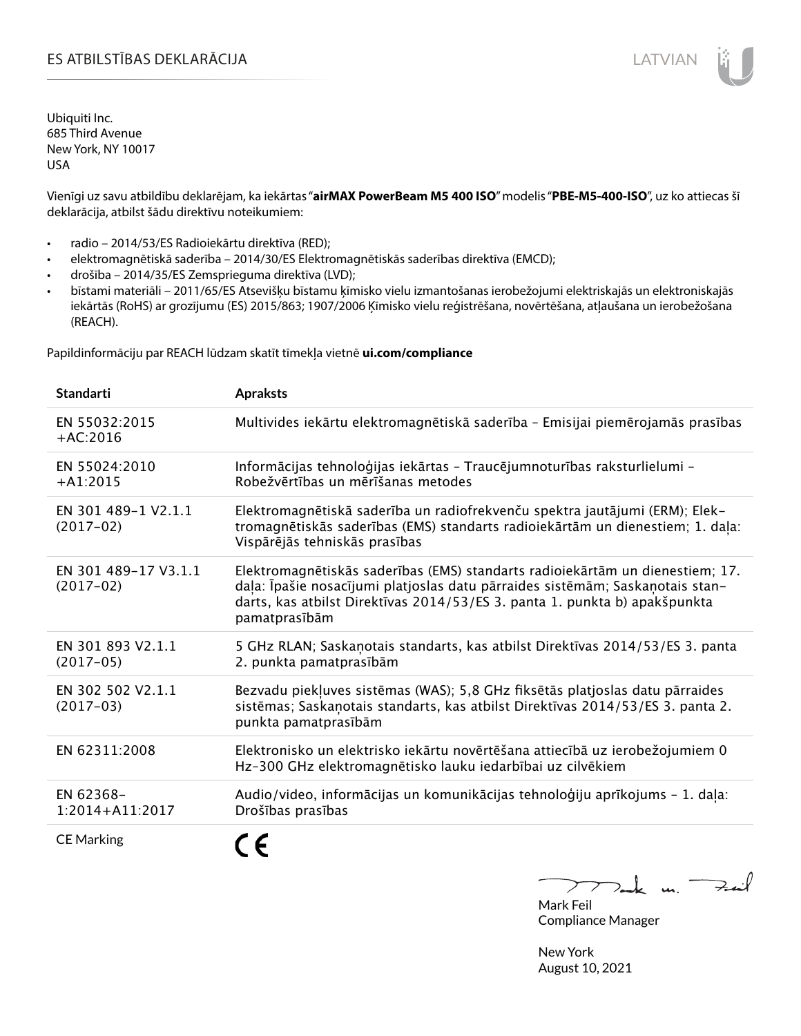Vienīgi uz savu atbildību deklarējam, ka iekārtas "**airMAX PowerBeam M5 400 ISO**" modelis "**PBE-M5-400-ISO**", uz ko attiecas šī deklarācija, atbilst šādu direktīvu noteikumiem:

- radio 2014/53/ES Radioiekārtu direktīva (RED);
- elektromagnētiskā saderība 2014/30/ES Elektromagnētiskās saderības direktīva (EMCD);
- drošība 2014/35/ES Zemsprieguma direktīva (LVD);
- bīstami materiāli 2011/65/ES Atsevišķu bīstamu ķīmisko vielu izmantošanas ierobežojumi elektriskajās un elektroniskajās iekārtās (RoHS) ar grozījumu (ES) 2015/863; 1907/2006 Ķīmisko vielu reģistrēšana, novērtēšana, atļaušana un ierobežošana (REACH).

Papildinformāciju par REACH lūdzam skatīt tīmekļa vietnē **ui.com/compliance**

| <b>Standarti</b>                    | <b>Apraksts</b>                                                                                                                                                                                                                                               |
|-------------------------------------|---------------------------------------------------------------------------------------------------------------------------------------------------------------------------------------------------------------------------------------------------------------|
| EN 55032:2015<br>$+AC:2016$         | Multivides iekārtu elektromagnētiskā saderība - Emisijai piemērojamās prasības                                                                                                                                                                                |
| EN 55024:2010<br>$+A1:2015$         | Informācijas tehnoloģijas iekārtas - Traucējumnoturības raksturlielumi -<br>Robežvērtības un mērīšanas metodes                                                                                                                                                |
| EN 301 489-1 V2.1.1<br>$(2017-02)$  | Elektromagnētiskā saderība un radiofrekvenču spektra jautājumi (ERM); Elek-<br>tromagnētiskās saderības (EMS) standarts radioiekārtām un dienestiem; 1. daļa:<br>Vispārējās tehniskās prasības                                                                |
| EN 301 489-17 V3.1.1<br>$(2017-02)$ | Elektromagnētiskās saderības (EMS) standarts radioiekārtām un dienestiem; 17.<br>daļa: Īpašie nosacījumi platjoslas datu pārraides sistēmām; Saskaņotais stan-<br>darts, kas atbilst Direktīvas 2014/53/ES 3. panta 1. punkta b) apakšpunkta<br>pamatprasībām |
| EN 301 893 V2.1.1<br>$(2017-05)$    | 5 GHz RLAN; Saskanotais standarts, kas atbilst Direktīvas 2014/53/ES 3. panta<br>2. punkta pamatprasībām                                                                                                                                                      |
| EN 302 502 V2.1.1<br>$(2017-03)$    | Bezvadu piekļuves sistēmas (WAS); 5,8 GHz fiksētās platjoslas datu pārraides<br>sistēmas; Saskaņotais standarts, kas atbilst Direktīvas 2014/53/ES 3. panta 2.<br>punkta pamatprasībām                                                                        |
| EN 62311:2008                       | Elektronisko un elektrisko iekārtu novērtēšana attiecībā uz ierobežojumiem 0<br>Hz-300 GHz elektromagnētisko lauku iedarbībai uz cilvēkiem                                                                                                                    |
| EN 62368-<br>1:2014+A11:2017        | Audio/video, informācijas un komunikācijas tehnoloģiju aprīkojums - 1. daļa:<br>Drošības prasības                                                                                                                                                             |
| <b>CE Marking</b>                   |                                                                                                                                                                                                                                                               |

m. Fail Mark Feil

Compliance Manager